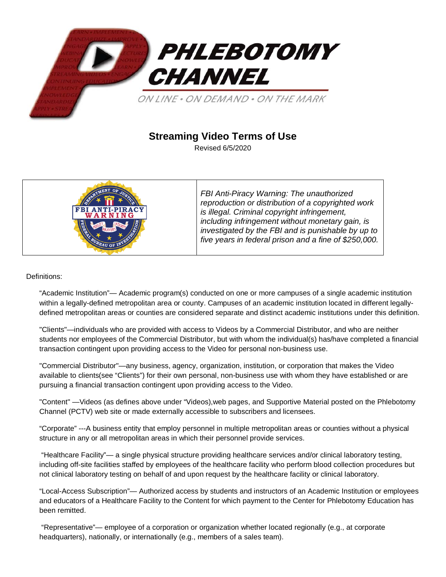

# **Streaming Video Terms of Use**

Revised 6/5/2020



*FBI Anti-Piracy Warning: The unauthorized reproduction or distribution of a copyrighted work is illegal. Criminal copyright infringement, including infringement without monetary gain, is investigated by the FBI and is punishable by up to five years in federal prison and a fine of \$250,000.*

## Definitions:

"Academic Institution"— Academic program(s) conducted on one or more campuses of a single academic institution within a legally-defined metropolitan area or county. Campuses of an academic institution located in different legallydefined metropolitan areas or counties are considered separate and distinct academic institutions under this definition.

"Clients"—individuals who are provided with access to Videos by a Commercial Distributor, and who are neither students nor employees of the Commercial Distributor, but with whom the individual(s) has/have completed a financial transaction contingent upon providing access to the Video for personal non-business use.

"Commercial Distributor"—any business, agency, organization, institution, or corporation that makes the Video available to clients(see "Clients") for their own personal, non-business use with whom they have established or are pursuing a financial transaction contingent upon providing access to the Video.

"Content" —Videos (as defines above under "Videos),web pages, and Supportive Material posted on the Phlebotomy Channel (PCTV) web site or made externally accessible to subscribers and licensees.

"Corporate" ---A business entity that employ personnel in multiple metropolitan areas or counties without a physical structure in any or all metropolitan areas in which their personnel provide services.

"Healthcare Facility"— a single physical structure providing healthcare services and/or clinical laboratory testing, including off-site facilities staffed by employees of the healthcare facility who perform blood collection procedures but not clinical laboratory testing on behalf of and upon request by the healthcare facility or clinical laboratory.

"Local-Access Subscription"— Authorized access by students and instructors of an Academic Institution or employees and educators of a Healthcare Facility to the Content for which payment to the Center for Phlebotomy Education has been remitted.

"Representative"— employee of a corporation or organization whether located regionally (e.g., at corporate headquarters), nationally, or internationally (e.g., members of a sales team).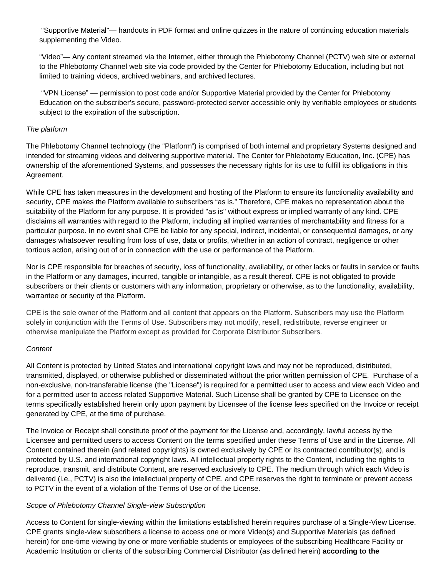"Supportive Material"— handouts in PDF format and online quizzes in the nature of continuing education materials supplementing the Video.

"Video"— Any content streamed via the Internet, either through the Phlebotomy Channel (PCTV) web site or external to the Phlebotomy Channel web site via code provided by the Center for Phlebotomy Education, including but not limited to training videos, archived webinars, and archived lectures.

"VPN License" — permission to post code and/or Supportive Material provided by the Center for Phlebotomy Education on the subscriber's secure, password-protected server accessible only by verifiable employees or students subject to the expiration of the subscription.

## *The platform*

The Phlebotomy Channel technology (the "Platform") is comprised of both internal and proprietary Systems designed and intended for streaming videos and delivering supportive material. The Center for Phlebotomy Education, Inc. (CPE) has ownership of the aforementioned Systems, and possesses the necessary rights for its use to fulfill its obligations in this Agreement.

While CPE has taken measures in the development and hosting of the Platform to ensure its functionality availability and security, CPE makes the Platform available to subscribers "as is." Therefore, CPE makes no representation about the suitability of the Platform for any purpose. It is provided "as is" without express or implied warranty of any kind. CPE disclaims all warranties with regard to the Platform, including all implied warranties of merchantability and fitness for a particular purpose. In no event shall CPE be liable for any special, indirect, incidental, or consequential damages, or any damages whatsoever resulting from loss of use, data or profits, whether in an action of contract, negligence or other tortious action, arising out of or in connection with the use or performance of the Platform.

Nor is CPE responsible for breaches of security, loss of functionality, availability, or other lacks or faults in service or faults in the Platform or any damages, incurred, tangible or intangible, as a result thereof. CPE is not obligated to provide subscribers or their clients or customers with any information, proprietary or otherwise, as to the functionality, availability, warrantee or security of the Platform.

CPE is the sole owner of the Platform and all content that appears on the Platform. Subscribers may use the Platform solely in conjunction with the Terms of Use. Subscribers may not modify, resell, redistribute, reverse engineer or otherwise manipulate the Platform except as provided for Corporate Distributor Subscribers.

## *Content*

All Content is protected by United States and international copyright laws and may not be reproduced, distributed, transmitted, displayed, or otherwise published or disseminated without the prior written permission of CPE. Purchase of a non-exclusive, non-transferable license (the "License") is required for a permitted user to access and view each Video and for a permitted user to access related Supportive Material. Such License shall be granted by CPE to Licensee on the terms specifically established herein only upon payment by Licensee of the license fees specified on the Invoice or receipt generated by CPE, at the time of purchase.

The Invoice or Receipt shall constitute proof of the payment for the License and, accordingly, lawful access by the Licensee and permitted users to access Content on the terms specified under these Terms of Use and in the License. All Content contained therein (and related copyrights) is owned exclusively by CPE or its contracted contributor(s), and is protected by U.S. and international copyright laws. All intellectual property rights to the Content, including the rights to reproduce, transmit, and distribute Content, are reserved exclusively to CPE. The medium through which each Video is delivered (i.e., PCTV) is also the intellectual property of CPE, and CPE reserves the right to terminate or prevent access to PCTV in the event of a violation of the Terms of Use or of the License.

## *Scope of Phlebotomy Channel Single-view Subscription*

Access to Content for single-viewing within the limitations established herein requires purchase of a Single-View License. CPE grants single-view subscribers a license to access one or more Video(s) and Supportive Materials (as defined herein) for one-time viewing by one or more verifiable students or employees of the subscribing Healthcare Facility or Academic Institution or clients of the subscribing Commercial Distributor (as defined herein) **according to the**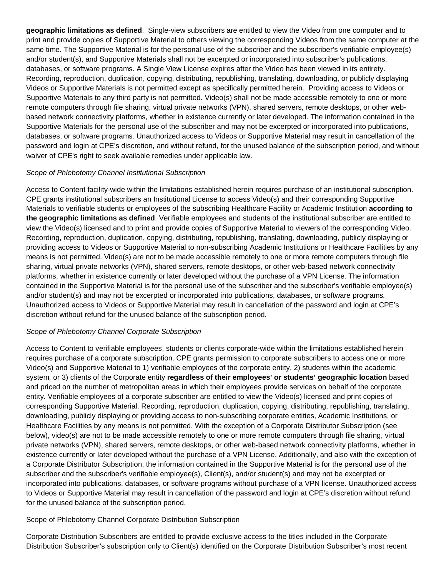**geographic limitations as defined**. Single-view subscribers are entitled to view the Video from one computer and to print and provide copies of Supportive Material to others viewing the corresponding Videos from the same computer at the same time. The Supportive Material is for the personal use of the subscriber and the subscriber's verifiable employee(s) and/or student(s), and Supportive Materials shall not be excerpted or incorporated into subscriber's publications, databases, or software programs. A Single View License expires after the Video has been viewed in its entirety. Recording, reproduction, duplication, copying, distributing, republishing, translating, downloading, or publicly displaying Videos or Supportive Materials is not permitted except as specifically permitted herein. Providing access to Videos or Supportive Materials to any third party is not permitted. Video(s) shall not be made accessible remotely to one or more remote computers through file sharing, virtual private networks (VPN), shared servers, remote desktops, or other webbased network connectivity platforms, whether in existence currently or later developed. The information contained in the Supportive Materials for the personal use of the subscriber and may not be excerpted or incorporated into publications, databases, or software programs. Unauthorized access to Videos or Supportive Material may result in cancellation of the password and login at CPE's discretion, and without refund, for the unused balance of the subscription period, and without waiver of CPE's right to seek available remedies under applicable law.

## *Scope of Phlebotomy Channel Institutional Subscription*

Access to Content facility-wide within the limitations established herein requires purchase of an institutional subscription. CPE grants institutional subscribers an Institutional License to access Video(s) and their corresponding Supportive Materials to verifiable students or employees of the subscribing Healthcare Facility or Academic Institution **according to the geographic limitations as defined**. Verifiable employees and students of the institutional subscriber are entitled to view the Video(s) licensed and to print and provide copies of Supportive Material to viewers of the corresponding Video. Recording, reproduction, duplication, copying, distributing, republishing, translating, downloading, publicly displaying or providing access to Videos or Supportive Material to non-subscribing Academic Institutions or Healthcare Facilities by any means is not permitted. Video(s) are not to be made accessible remotely to one or more remote computers through file sharing, virtual private networks (VPN), shared servers, remote desktops, or other web-based network connectivity platforms, whether in existence currently or later developed without the purchase of a VPN License. The information contained in the Supportive Material is for the personal use of the subscriber and the subscriber's verifiable employee(s) and/or student(s) and may not be excerpted or incorporated into publications, databases, or software programs. Unauthorized access to Videos or Supportive Material may result in cancellation of the password and login at CPE's discretion without refund for the unused balance of the subscription period.

#### *Scope of Phlebotomy Channel Corporate Subscription*

Access to Content to verifiable employees, students or clients corporate-wide within the limitations established herein requires purchase of a corporate subscription. CPE grants permission to corporate subscribers to access one or more Video(s) and Supportive Material to 1) verifiable employees of the corporate entity, 2) students within the academic system, or 3) clients of the Corporate entity **regardless of their employees' or students' geographic location** based and priced on the number of metropolitan areas in which their employees provide services on behalf of the corporate entity. Verifiable employees of a corporate subscriber are entitled to view the Video(s) licensed and print copies of corresponding Supportive Material. Recording, reproduction, duplication, copying, distributing, republishing, translating, downloading, publicly displaying or providing access to non-subscribing corporate entities, Academic Institutions, or Healthcare Facilities by any means is not permitted. With the exception of a Corporate Distributor Subscription (see below), video(s) are not to be made accessible remotely to one or more remote computers through file sharing, virtual private networks (VPN), shared servers, remote desktops, or other web-based network connectivity platforms, whether in existence currently or later developed without the purchase of a VPN License. Additionally, and also with the exception of a Corporate Distributor Subscription, the information contained in the Supportive Material is for the personal use of the subscriber and the subscriber's verifiable employee(s), Client(s), and/or student(s) and may not be excerpted or incorporated into publications, databases, or software programs without purchase of a VPN license. Unauthorized access to Videos or Supportive Material may result in cancellation of the password and login at CPE's discretion without refund for the unused balance of the subscription period.

## Scope of Phlebotomy Channel Corporate Distribution Subscription

Corporate Distribution Subscribers are entitled to provide exclusive access to the titles included in the Corporate Distribution Subscriber's subscription only to Client(s) identified on the Corporate Distribution Subscriber's most recent